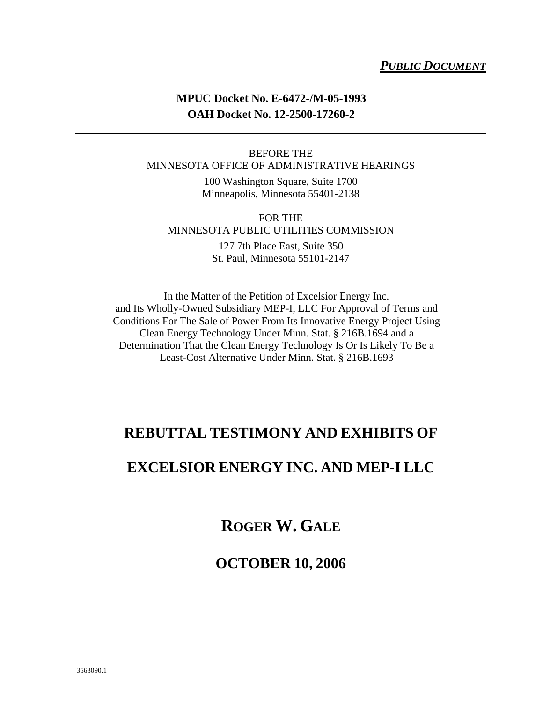### *PUBLIC DOCUMENT*

### **MPUC Docket No. E-6472-/M-05-1993 OAH Docket No. 12-2500-17260-2**

#### BEFORE THE MINNESOTA OFFICE OF ADMINISTRATIVE HEARINGS

100 Washington Square, Suite 1700 Minneapolis, Minnesota 55401-2138

#### FOR THE MINNESOTA PUBLIC UTILITIES COMMISSION

127 7th Place East, Suite 350 St. Paul, Minnesota 55101-2147

In the Matter of the Petition of Excelsior Energy Inc. and Its Wholly-Owned Subsidiary MEP-I, LLC For Approval of Terms and Conditions For The Sale of Power From Its Innovative Energy Project Using Clean Energy Technology Under Minn. Stat. § 216B.1694 and a Determination That the Clean Energy Technology Is Or Is Likely To Be a Least-Cost Alternative Under Minn. Stat. § 216B.1693

### **REBUTTAL TESTIMONY AND EXHIBITS OF**

### **EXCELSIOR ENERGY INC. AND MEP-I LLC**

### **ROGER W. GALE**

### **OCTOBER 10, 2006**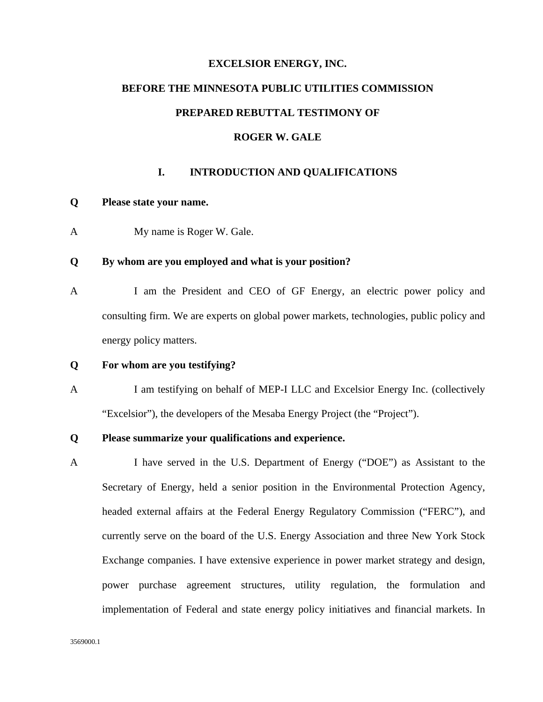#### **EXCELSIOR ENERGY, INC.**

# **BEFORE THE MINNESOTA PUBLIC UTILITIES COMMISSION**

#### **PREPARED REBUTTAL TESTIMONY OF**

#### **ROGER W. GALE**

#### **I. INTRODUCTION AND QUALIFICATIONS**

#### **Q Please state your name.**

A My name is Roger W. Gale.

#### **Q By whom are you employed and what is your position?**

A I am the President and CEO of GF Energy, an electric power policy and consulting firm. We are experts on global power markets, technologies, public policy and energy policy matters.

#### **Q For whom are you testifying?**

A I am testifying on behalf of MEP-I LLC and Excelsior Energy Inc. (collectively "Excelsior"), the developers of the Mesaba Energy Project (the "Project").

#### **Q Please summarize your qualifications and experience.**

A I have served in the U.S. Department of Energy ("DOE") as Assistant to the Secretary of Energy, held a senior position in the Environmental Protection Agency, headed external affairs at the Federal Energy Regulatory Commission ("FERC"), and currently serve on the board of the U.S. Energy Association and three New York Stock Exchange companies. I have extensive experience in power market strategy and design, power purchase agreement structures, utility regulation, the formulation and implementation of Federal and state energy policy initiatives and financial markets. In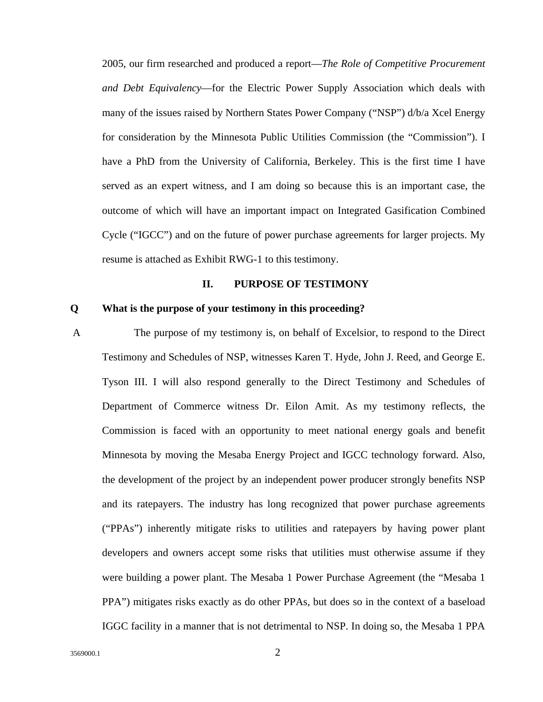2005, our firm researched and produced a report—*The Role of Competitive Procurement and Debt Equivalency*—for the Electric Power Supply Association which deals with many of the issues raised by Northern States Power Company ("NSP") d/b/a Xcel Energy for consideration by the Minnesota Public Utilities Commission (the "Commission"). I have a PhD from the University of California, Berkeley. This is the first time I have served as an expert witness, and I am doing so because this is an important case, the outcome of which will have an important impact on Integrated Gasification Combined Cycle ("IGCC") and on the future of power purchase agreements for larger projects. My resume is attached as Exhibit RWG-1 to this testimony.

#### **II. PURPOSE OF TESTIMONY**

#### **Q What is the purpose of your testimony in this proceeding?**

 A The purpose of my testimony is, on behalf of Excelsior, to respond to the Direct Testimony and Schedules of NSP, witnesses Karen T. Hyde, John J. Reed, and George E. Tyson III. I will also respond generally to the Direct Testimony and Schedules of Department of Commerce witness Dr. Eilon Amit. As my testimony reflects, the Commission is faced with an opportunity to meet national energy goals and benefit Minnesota by moving the Mesaba Energy Project and IGCC technology forward. Also, the development of the project by an independent power producer strongly benefits NSP and its ratepayers. The industry has long recognized that power purchase agreements ("PPAs") inherently mitigate risks to utilities and ratepayers by having power plant developers and owners accept some risks that utilities must otherwise assume if they were building a power plant. The Mesaba 1 Power Purchase Agreement (the "Mesaba 1 PPA") mitigates risks exactly as do other PPAs, but does so in the context of a baseload IGGC facility in a manner that is not detrimental to NSP. In doing so, the Mesaba 1 PPA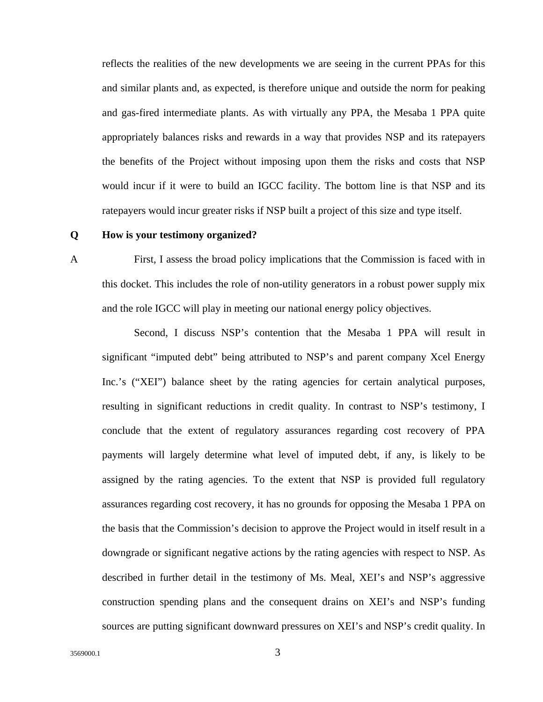reflects the realities of the new developments we are seeing in the current PPAs for this and similar plants and, as expected, is therefore unique and outside the norm for peaking and gas-fired intermediate plants. As with virtually any PPA, the Mesaba 1 PPA quite appropriately balances risks and rewards in a way that provides NSP and its ratepayers the benefits of the Project without imposing upon them the risks and costs that NSP would incur if it were to build an IGCC facility. The bottom line is that NSP and its ratepayers would incur greater risks if NSP built a project of this size and type itself.

#### **Q How is your testimony organized?**

A First, I assess the broad policy implications that the Commission is faced with in this docket. This includes the role of non-utility generators in a robust power supply mix and the role IGCC will play in meeting our national energy policy objectives.

 Second, I discuss NSP's contention that the Mesaba 1 PPA will result in significant "imputed debt" being attributed to NSP's and parent company Xcel Energy Inc.'s ("XEI") balance sheet by the rating agencies for certain analytical purposes, resulting in significant reductions in credit quality. In contrast to NSP's testimony, I conclude that the extent of regulatory assurances regarding cost recovery of PPA payments will largely determine what level of imputed debt, if any, is likely to be assigned by the rating agencies. To the extent that NSP is provided full regulatory assurances regarding cost recovery, it has no grounds for opposing the Mesaba 1 PPA on the basis that the Commission's decision to approve the Project would in itself result in a downgrade or significant negative actions by the rating agencies with respect to NSP. As described in further detail in the testimony of Ms. Meal, XEI's and NSP's aggressive construction spending plans and the consequent drains on XEI's and NSP's funding sources are putting significant downward pressures on XEI's and NSP's credit quality. In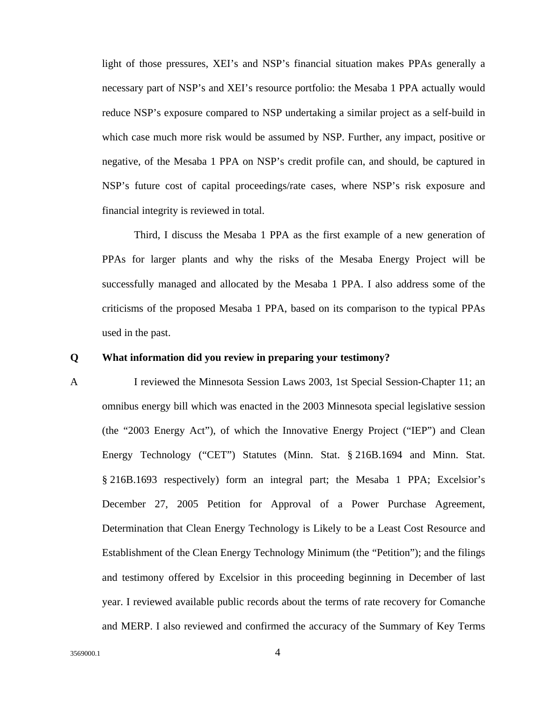light of those pressures, XEI's and NSP's financial situation makes PPAs generally a necessary part of NSP's and XEI's resource portfolio: the Mesaba 1 PPA actually would reduce NSP's exposure compared to NSP undertaking a similar project as a self-build in which case much more risk would be assumed by NSP. Further, any impact, positive or negative, of the Mesaba 1 PPA on NSP's credit profile can, and should, be captured in NSP's future cost of capital proceedings/rate cases, where NSP's risk exposure and financial integrity is reviewed in total.

 Third, I discuss the Mesaba 1 PPA as the first example of a new generation of PPAs for larger plants and why the risks of the Mesaba Energy Project will be successfully managed and allocated by the Mesaba 1 PPA. I also address some of the criticisms of the proposed Mesaba 1 PPA, based on its comparison to the typical PPAs used in the past.

#### **Q What information did you review in preparing your testimony?**

A I reviewed the Minnesota Session Laws 2003, 1st Special Session-Chapter 11; an omnibus energy bill which was enacted in the 2003 Minnesota special legislative session (the "2003 Energy Act"), of which the Innovative Energy Project ("IEP") and Clean Energy Technology ("CET") Statutes (Minn. Stat. § 216B.1694 and Minn. Stat. § 216B.1693 respectively) form an integral part; the Mesaba 1 PPA; Excelsior's December 27, 2005 Petition for Approval of a Power Purchase Agreement, Determination that Clean Energy Technology is Likely to be a Least Cost Resource and Establishment of the Clean Energy Technology Minimum (the "Petition"); and the filings and testimony offered by Excelsior in this proceeding beginning in December of last year. I reviewed available public records about the terms of rate recovery for Comanche and MERP. I also reviewed and confirmed the accuracy of the Summary of Key Terms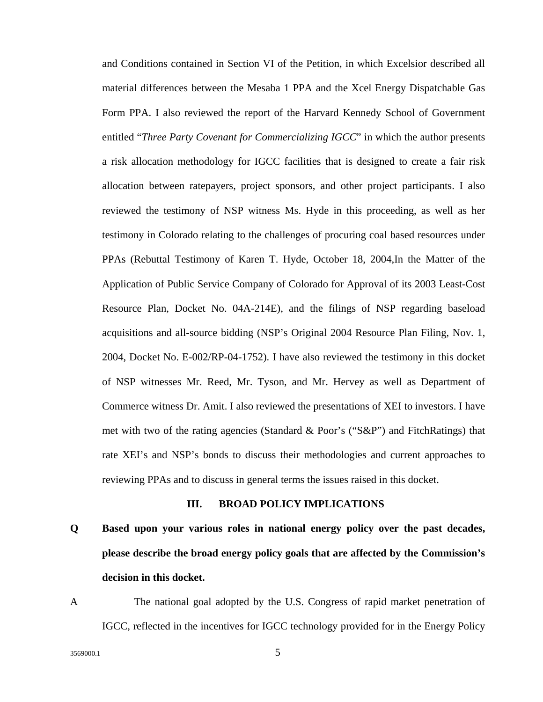and Conditions contained in Section VI of the Petition, in which Excelsior described all material differences between the Mesaba 1 PPA and the Xcel Energy Dispatchable Gas Form PPA. I also reviewed the report of the Harvard Kennedy School of Government entitled "*Three Party Covenant for Commercializing IGCC*" in which the author presents a risk allocation methodology for IGCC facilities that is designed to create a fair risk allocation between ratepayers, project sponsors, and other project participants. I also reviewed the testimony of NSP witness Ms. Hyde in this proceeding, as well as her testimony in Colorado relating to the challenges of procuring coal based resources under PPAs (Rebuttal Testimony of Karen T. Hyde, October 18, 2004,In the Matter of the Application of Public Service Company of Colorado for Approval of its 2003 Least-Cost Resource Plan, Docket No. 04A-214E), and the filings of NSP regarding baseload acquisitions and all-source bidding (NSP's Original 2004 Resource Plan Filing, Nov. 1, 2004, Docket No. E-002/RP-04-1752). I have also reviewed the testimony in this docket of NSP witnesses Mr. Reed, Mr. Tyson, and Mr. Hervey as well as Department of Commerce witness Dr. Amit. I also reviewed the presentations of XEI to investors. I have met with two of the rating agencies (Standard & Poor's ("S&P") and FitchRatings) that rate XEI's and NSP's bonds to discuss their methodologies and current approaches to reviewing PPAs and to discuss in general terms the issues raised in this docket.

#### **III. BROAD POLICY IMPLICATIONS**

**Q Based upon your various roles in national energy policy over the past decades, please describe the broad energy policy goals that are affected by the Commission's decision in this docket.** 

A The national goal adopted by the U.S. Congress of rapid market penetration of IGCC, reflected in the incentives for IGCC technology provided for in the Energy Policy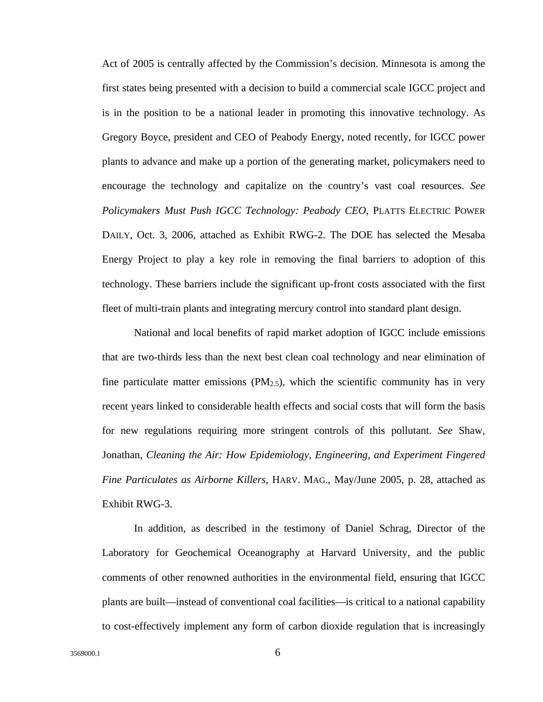Act of 2005 is centrally affected by the Commission's decision. Minnesota is among the first states being presented with a decision to build a commercial scale IGCC project and is in the position to be a national leader in promoting this innovative technology. As Gregory Boyce, president and CEO of Peabody Energy, noted recently, for IGCC power plants to advance and make up a portion of the generating market, policymakers need to encourage the technology and capitalize on the country's vast coal resources. *See Policymakers Must Push IGCC Technology: Peabody CEO*, PLATTS ELECTRIC POWER DAILY, Oct. 3, 2006, attached as Exhibit RWG-2. The DOE has selected the Mesaba Energy Project to play a key role in removing the final barriers to adoption of this technology. These barriers include the significant up-front costs associated with the first fleet of multi-train plants and integrating mercury control into standard plant design.

National and local benefits of rapid market adoption of IGCC include emissions that are two-thirds less than the next best clean coal technology and near elimination of fine particulate matter emissions  $(PM<sub>2.5</sub>)$ , which the scientific community has in very recent years linked to considerable health effects and social costs that will form the basis for new regulations requiring more stringent controls of this pollutant. *See* Shaw, Jonathan, *Cleaning the Air: How Epidemiology, Engineering, and Experiment Fingered Fine Particulates as Airborne Killers*, HARV. MAG., May/June 2005, p. 28, attached as Exhibit RWG-3.

In addition, as described in the testimony of Daniel Schrag, Director of the Laboratory for Geochemical Oceanography at Harvard University, and the public comments of other renowned authorities in the environmental field, ensuring that IGCC plants are built—instead of conventional coal facilities—is critical to a national capability to cost-effectively implement any form of carbon dioxide regulation that is increasingly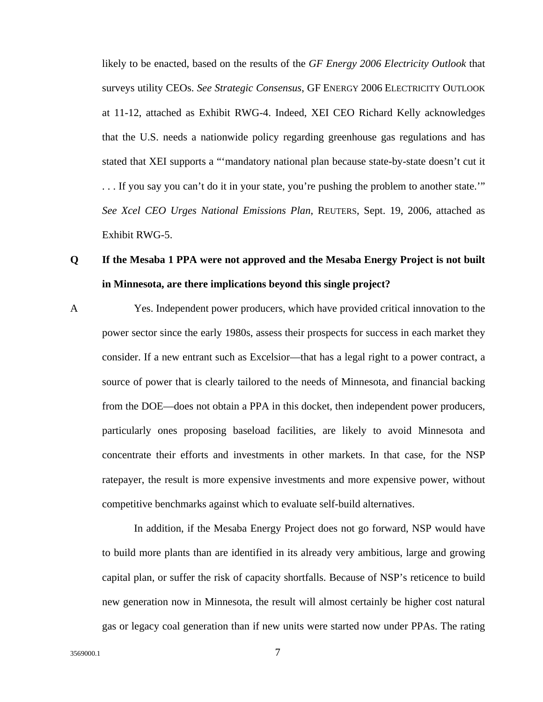likely to be enacted, based on the results of the *GF Energy 2006 Electricity Outlook* that surveys utility CEOs. *See Strategic Consensus*, GF ENERGY 2006 ELECTRICITY OUTLOOK at 11-12, attached as Exhibit RWG-4. Indeed, XEI CEO Richard Kelly acknowledges that the U.S. needs a nationwide policy regarding greenhouse gas regulations and has stated that XEI supports a "'mandatory national plan because state-by-state doesn't cut it . . . If you say you can't do it in your state, you're pushing the problem to another state.'" *See Xcel CEO Urges National Emissions Plan*, REUTERS, Sept. 19, 2006, attached as Exhibit RWG-5.

### **Q If the Mesaba 1 PPA were not approved and the Mesaba Energy Project is not built in Minnesota, are there implications beyond this single project?**

A Yes. Independent power producers, which have provided critical innovation to the power sector since the early 1980s, assess their prospects for success in each market they consider. If a new entrant such as Excelsior—that has a legal right to a power contract, a source of power that is clearly tailored to the needs of Minnesota, and financial backing from the DOE—does not obtain a PPA in this docket, then independent power producers, particularly ones proposing baseload facilities, are likely to avoid Minnesota and concentrate their efforts and investments in other markets. In that case, for the NSP ratepayer, the result is more expensive investments and more expensive power, without competitive benchmarks against which to evaluate self-build alternatives.

 In addition, if the Mesaba Energy Project does not go forward, NSP would have to build more plants than are identified in its already very ambitious, large and growing capital plan, or suffer the risk of capacity shortfalls. Because of NSP's reticence to build new generation now in Minnesota, the result will almost certainly be higher cost natural gas or legacy coal generation than if new units were started now under PPAs. The rating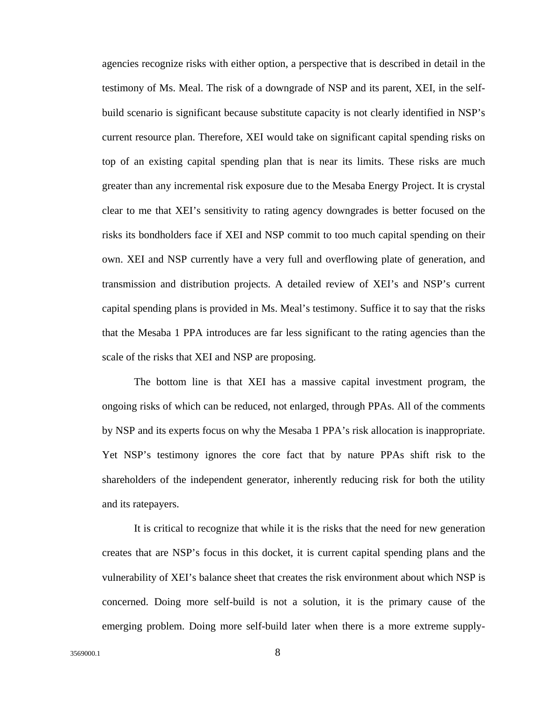agencies recognize risks with either option, a perspective that is described in detail in the testimony of Ms. Meal. The risk of a downgrade of NSP and its parent, XEI, in the selfbuild scenario is significant because substitute capacity is not clearly identified in NSP's current resource plan. Therefore, XEI would take on significant capital spending risks on top of an existing capital spending plan that is near its limits. These risks are much greater than any incremental risk exposure due to the Mesaba Energy Project. It is crystal clear to me that XEI's sensitivity to rating agency downgrades is better focused on the risks its bondholders face if XEI and NSP commit to too much capital spending on their own. XEI and NSP currently have a very full and overflowing plate of generation, and transmission and distribution projects. A detailed review of XEI's and NSP's current capital spending plans is provided in Ms. Meal's testimony. Suffice it to say that the risks that the Mesaba 1 PPA introduces are far less significant to the rating agencies than the scale of the risks that XEI and NSP are proposing.

 The bottom line is that XEI has a massive capital investment program, the ongoing risks of which can be reduced, not enlarged, through PPAs. All of the comments by NSP and its experts focus on why the Mesaba 1 PPA's risk allocation is inappropriate. Yet NSP's testimony ignores the core fact that by nature PPAs shift risk to the shareholders of the independent generator, inherently reducing risk for both the utility and its ratepayers.

 It is critical to recognize that while it is the risks that the need for new generation creates that are NSP's focus in this docket, it is current capital spending plans and the vulnerability of XEI's balance sheet that creates the risk environment about which NSP is concerned. Doing more self-build is not a solution, it is the primary cause of the emerging problem. Doing more self-build later when there is a more extreme supply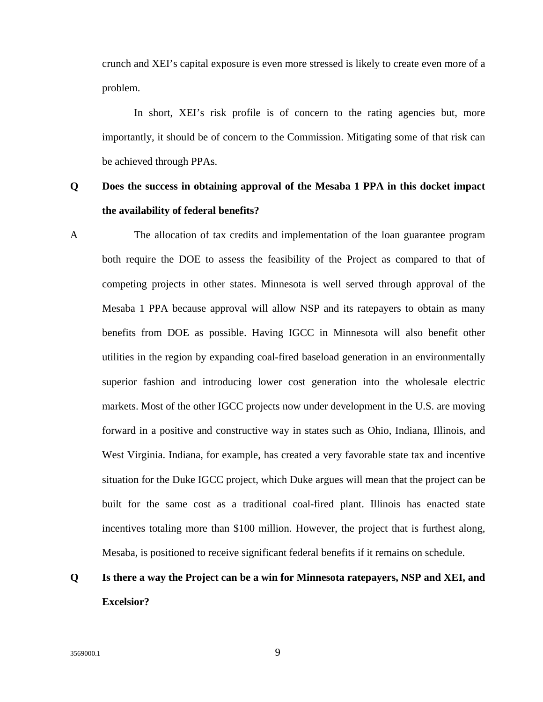crunch and XEI's capital exposure is even more stressed is likely to create even more of a problem.

In short, XEI's risk profile is of concern to the rating agencies but, more importantly, it should be of concern to the Commission. Mitigating some of that risk can be achieved through PPAs.

### **Q Does the success in obtaining approval of the Mesaba 1 PPA in this docket impact the availability of federal benefits?**

A The allocation of tax credits and implementation of the loan guarantee program both require the DOE to assess the feasibility of the Project as compared to that of competing projects in other states. Minnesota is well served through approval of the Mesaba 1 PPA because approval will allow NSP and its ratepayers to obtain as many benefits from DOE as possible. Having IGCC in Minnesota will also benefit other utilities in the region by expanding coal-fired baseload generation in an environmentally superior fashion and introducing lower cost generation into the wholesale electric markets. Most of the other IGCC projects now under development in the U.S. are moving forward in a positive and constructive way in states such as Ohio, Indiana, Illinois, and West Virginia. Indiana, for example, has created a very favorable state tax and incentive situation for the Duke IGCC project, which Duke argues will mean that the project can be built for the same cost as a traditional coal-fired plant. Illinois has enacted state incentives totaling more than \$100 million. However, the project that is furthest along, Mesaba, is positioned to receive significant federal benefits if it remains on schedule.

## **Q Is there a way the Project can be a win for Minnesota ratepayers, NSP and XEI, and Excelsior?**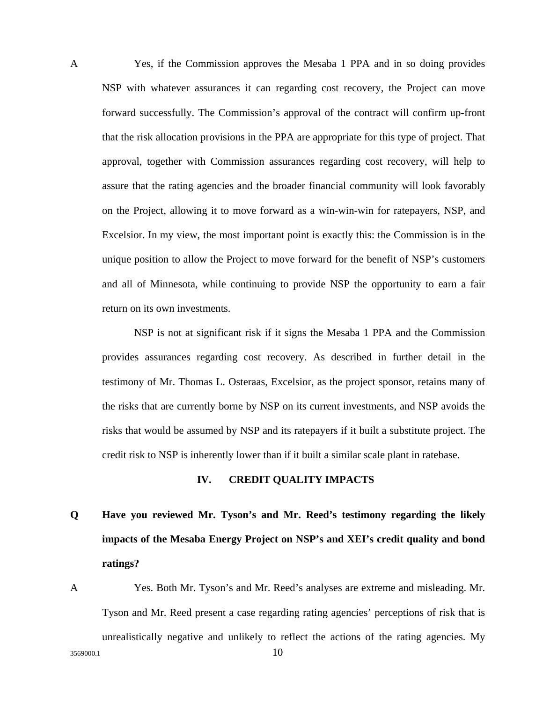A Yes, if the Commission approves the Mesaba 1 PPA and in so doing provides NSP with whatever assurances it can regarding cost recovery, the Project can move forward successfully. The Commission's approval of the contract will confirm up-front that the risk allocation provisions in the PPA are appropriate for this type of project. That approval, together with Commission assurances regarding cost recovery, will help to assure that the rating agencies and the broader financial community will look favorably on the Project, allowing it to move forward as a win-win-win for ratepayers, NSP, and Excelsior. In my view, the most important point is exactly this: the Commission is in the unique position to allow the Project to move forward for the benefit of NSP's customers and all of Minnesota, while continuing to provide NSP the opportunity to earn a fair return on its own investments.

NSP is not at significant risk if it signs the Mesaba 1 PPA and the Commission provides assurances regarding cost recovery. As described in further detail in the testimony of Mr. Thomas L. Osteraas, Excelsior, as the project sponsor, retains many of the risks that are currently borne by NSP on its current investments, and NSP avoids the risks that would be assumed by NSP and its ratepayers if it built a substitute project. The credit risk to NSP is inherently lower than if it built a similar scale plant in ratebase.

#### **IV. CREDIT QUALITY IMPACTS**

# **Q Have you reviewed Mr. Tyson's and Mr. Reed's testimony regarding the likely impacts of the Mesaba Energy Project on NSP's and XEI's credit quality and bond ratings?**

A Yes. Both Mr. Tyson's and Mr. Reed's analyses are extreme and misleading. Mr. Tyson and Mr. Reed present a case regarding rating agencies' perceptions of risk that is unrealistically negative and unlikely to reflect the actions of the rating agencies. My

 $3569000.1$  10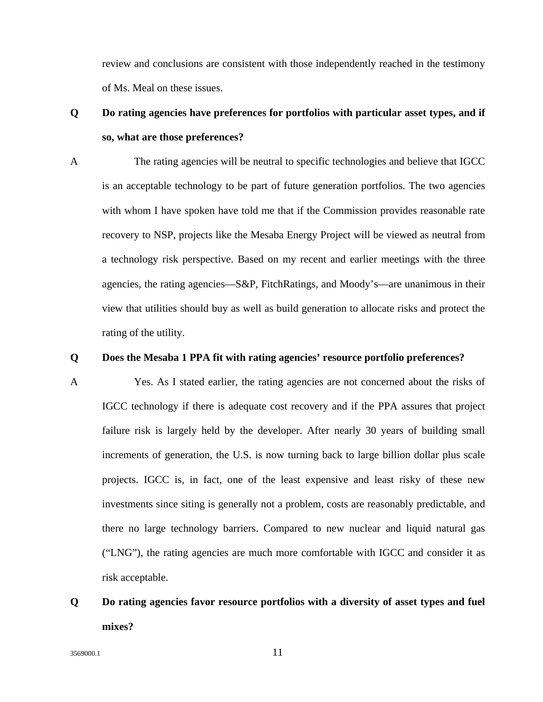review and conclusions are consistent with those independently reached in the testimony of Ms. Meal on these issues.

### **Q Do rating agencies have preferences for portfolios with particular asset types, and if so, what are those preferences?**

A The rating agencies will be neutral to specific technologies and believe that IGCC is an acceptable technology to be part of future generation portfolios. The two agencies with whom I have spoken have told me that if the Commission provides reasonable rate recovery to NSP, projects like the Mesaba Energy Project will be viewed as neutral from a technology risk perspective. Based on my recent and earlier meetings with the three agencies, the rating agencies—S&P, FitchRatings, and Moody's—are unanimous in their view that utilities should buy as well as build generation to allocate risks and protect the rating of the utility.

#### **Q Does the Mesaba 1 PPA fit with rating agencies' resource portfolio preferences?**

A Yes. As I stated earlier, the rating agencies are not concerned about the risks of IGCC technology if there is adequate cost recovery and if the PPA assures that project failure risk is largely held by the developer. After nearly 30 years of building small increments of generation, the U.S. is now turning back to large billion dollar plus scale projects. IGCC is, in fact, one of the least expensive and least risky of these new investments since siting is generally not a problem, costs are reasonably predictable, and there no large technology barriers. Compared to new nuclear and liquid natural gas ("LNG"), the rating agencies are much more comfortable with IGCC and consider it as risk acceptable.

## **Q Do rating agencies favor resource portfolios with a diversity of asset types and fuel mixes?**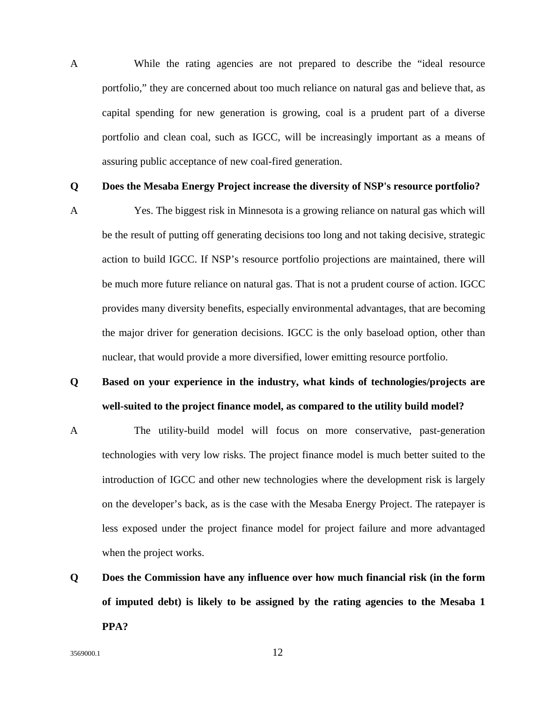A While the rating agencies are not prepared to describe the "ideal resource portfolio," they are concerned about too much reliance on natural gas and believe that, as capital spending for new generation is growing, coal is a prudent part of a diverse portfolio and clean coal, such as IGCC, will be increasingly important as a means of assuring public acceptance of new coal-fired generation.

#### **Q Does the Mesaba Energy Project increase the diversity of NSP's resource portfolio?**

A Yes. The biggest risk in Minnesota is a growing reliance on natural gas which will be the result of putting off generating decisions too long and not taking decisive, strategic action to build IGCC. If NSP's resource portfolio projections are maintained, there will be much more future reliance on natural gas. That is not a prudent course of action. IGCC provides many diversity benefits, especially environmental advantages, that are becoming the major driver for generation decisions. IGCC is the only baseload option, other than nuclear, that would provide a more diversified, lower emitting resource portfolio.

- **Q Based on your experience in the industry, what kinds of technologies/projects are well-suited to the project finance model, as compared to the utility build model?**
- A The utility-build model will focus on more conservative, past-generation technologies with very low risks. The project finance model is much better suited to the introduction of IGCC and other new technologies where the development risk is largely on the developer's back, as is the case with the Mesaba Energy Project. The ratepayer is less exposed under the project finance model for project failure and more advantaged when the project works.
- **Q Does the Commission have any influence over how much financial risk (in the form of imputed debt) is likely to be assigned by the rating agencies to the Mesaba 1 PPA?**

 $3569000.1$  12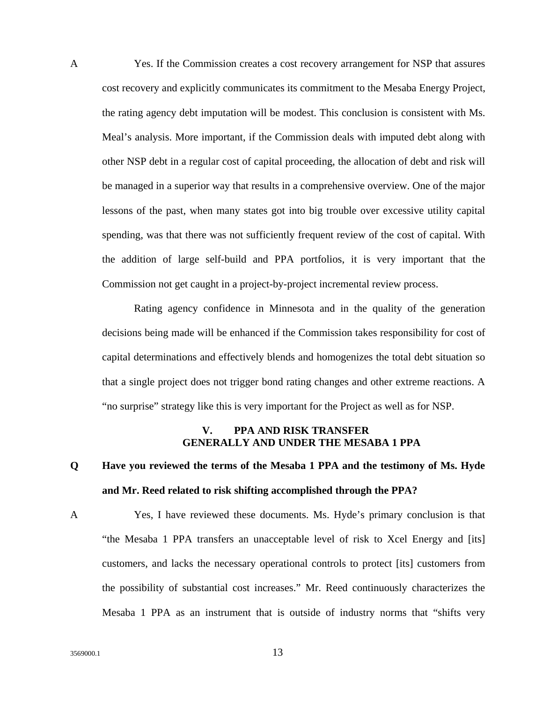A Yes. If the Commission creates a cost recovery arrangement for NSP that assures cost recovery and explicitly communicates its commitment to the Mesaba Energy Project, the rating agency debt imputation will be modest. This conclusion is consistent with Ms. Meal's analysis. More important, if the Commission deals with imputed debt along with other NSP debt in a regular cost of capital proceeding, the allocation of debt and risk will be managed in a superior way that results in a comprehensive overview. One of the major lessons of the past, when many states got into big trouble over excessive utility capital spending, was that there was not sufficiently frequent review of the cost of capital. With the addition of large self-build and PPA portfolios, it is very important that the Commission not get caught in a project-by-project incremental review process.

 Rating agency confidence in Minnesota and in the quality of the generation decisions being made will be enhanced if the Commission takes responsibility for cost of capital determinations and effectively blends and homogenizes the total debt situation so that a single project does not trigger bond rating changes and other extreme reactions. A "no surprise" strategy like this is very important for the Project as well as for NSP.

#### **V. PPA AND RISK TRANSFER GENERALLY AND UNDER THE MESABA 1 PPA**

## **Q Have you reviewed the terms of the Mesaba 1 PPA and the testimony of Ms. Hyde and Mr. Reed related to risk shifting accomplished through the PPA?**

A Yes, I have reviewed these documents. Ms. Hyde's primary conclusion is that "the Mesaba 1 PPA transfers an unacceptable level of risk to Xcel Energy and [its] customers, and lacks the necessary operational controls to protect [its] customers from the possibility of substantial cost increases." Mr. Reed continuously characterizes the Mesaba 1 PPA as an instrument that is outside of industry norms that "shifts very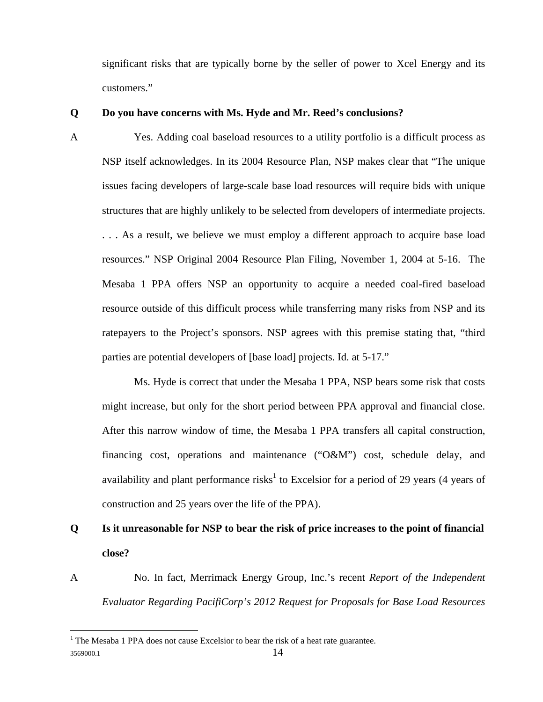significant risks that are typically borne by the seller of power to Xcel Energy and its customers."

#### **Q Do you have concerns with Ms. Hyde and Mr. Reed's conclusions?**

A Yes. Adding coal baseload resources to a utility portfolio is a difficult process as NSP itself acknowledges. In its 2004 Resource Plan, NSP makes clear that "The unique issues facing developers of large-scale base load resources will require bids with unique structures that are highly unlikely to be selected from developers of intermediate projects. . . . As a result, we believe we must employ a different approach to acquire base load resources." NSP Original 2004 Resource Plan Filing, November 1, 2004 at 5-16. The Mesaba 1 PPA offers NSP an opportunity to acquire a needed coal-fired baseload resource outside of this difficult process while transferring many risks from NSP and its ratepayers to the Project's sponsors. NSP agrees with this premise stating that, "third parties are potential developers of [base load] projects. Id. at 5-17."

 Ms. Hyde is correct that under the Mesaba 1 PPA, NSP bears some risk that costs might increase, but only for the short period between PPA approval and financial close. After this narrow window of time, the Mesaba 1 PPA transfers all capital construction, financing cost, operations and maintenance ("O&M") cost, schedule delay, and availability and plant performance risks<sup>1</sup> to Excelsior for a period of 29 years (4 years of construction and 25 years over the life of the PPA).

## **Q Is it unreasonable for NSP to bear the risk of price increases to the point of financial close?**

A No. In fact, Merrimack Energy Group, Inc.'s recent *Report of the Independent Evaluator Regarding PacifiCorp's 2012 Request for Proposals for Base Load Resources*

 $\overline{a}$ 

<sup>3569000.1 14</sup>   $<sup>1</sup>$  The Mesaba 1 PPA does not cause Excelsior to bear the risk of a heat rate guarantee.</sup>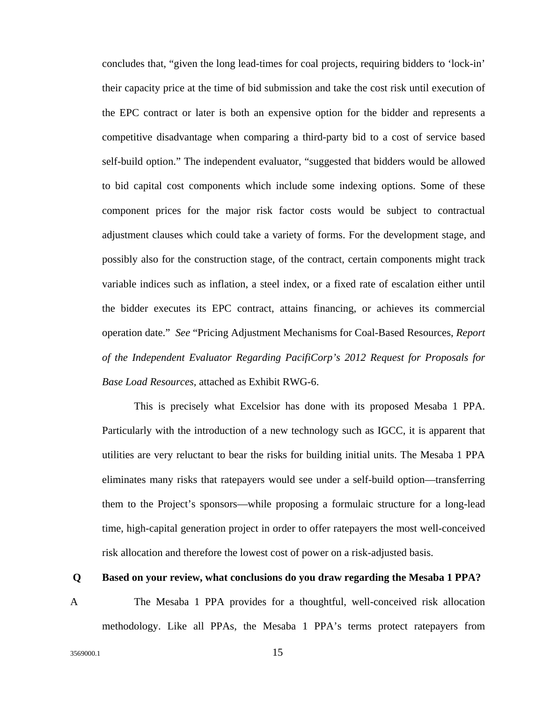concludes that, "given the long lead-times for coal projects, requiring bidders to 'lock-in' their capacity price at the time of bid submission and take the cost risk until execution of the EPC contract or later is both an expensive option for the bidder and represents a competitive disadvantage when comparing a third-party bid to a cost of service based self-build option." The independent evaluator, "suggested that bidders would be allowed to bid capital cost components which include some indexing options. Some of these component prices for the major risk factor costs would be subject to contractual adjustment clauses which could take a variety of forms. For the development stage, and possibly also for the construction stage, of the contract, certain components might track variable indices such as inflation, a steel index, or a fixed rate of escalation either until the bidder executes its EPC contract, attains financing, or achieves its commercial operation date." *See* "Pricing Adjustment Mechanisms for Coal-Based Resources, *Report of the Independent Evaluator Regarding PacifiCorp's 2012 Request for Proposals for Base Load Resources,* attached as Exhibit RWG-6.

 This is precisely what Excelsior has done with its proposed Mesaba 1 PPA. Particularly with the introduction of a new technology such as IGCC, it is apparent that utilities are very reluctant to bear the risks for building initial units. The Mesaba 1 PPA eliminates many risks that ratepayers would see under a self-build option—transferring them to the Project's sponsors—while proposing a formulaic structure for a long-lead time, high-capital generation project in order to offer ratepayers the most well-conceived risk allocation and therefore the lowest cost of power on a risk-adjusted basis.

#### **Q Based on your review, what conclusions do you draw regarding the Mesaba 1 PPA?**

A The Mesaba 1 PPA provides for a thoughtful, well-conceived risk allocation methodology. Like all PPAs, the Mesaba 1 PPA's terms protect ratepayers from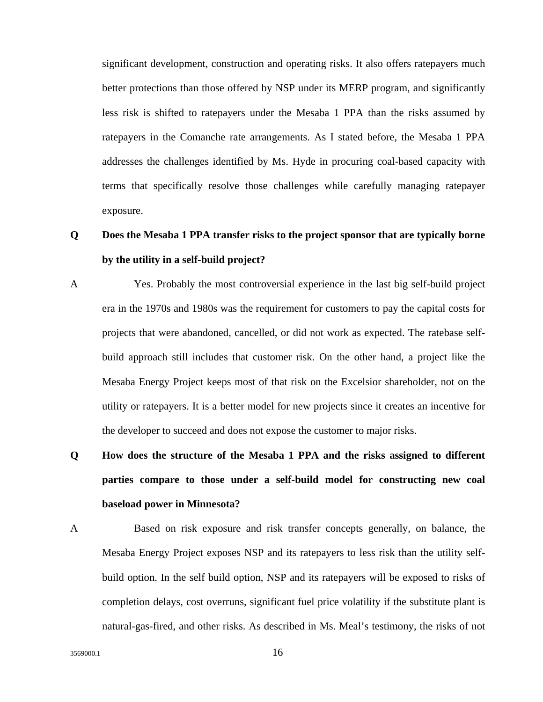significant development, construction and operating risks. It also offers ratepayers much better protections than those offered by NSP under its MERP program, and significantly less risk is shifted to ratepayers under the Mesaba 1 PPA than the risks assumed by ratepayers in the Comanche rate arrangements. As I stated before, the Mesaba 1 PPA addresses the challenges identified by Ms. Hyde in procuring coal-based capacity with terms that specifically resolve those challenges while carefully managing ratepayer exposure.

## **Q Does the Mesaba 1 PPA transfer risks to the project sponsor that are typically borne by the utility in a self-build project?**

- A Yes. Probably the most controversial experience in the last big self-build project era in the 1970s and 1980s was the requirement for customers to pay the capital costs for projects that were abandoned, cancelled, or did not work as expected. The ratebase selfbuild approach still includes that customer risk. On the other hand, a project like the Mesaba Energy Project keeps most of that risk on the Excelsior shareholder, not on the utility or ratepayers. It is a better model for new projects since it creates an incentive for the developer to succeed and does not expose the customer to major risks.
- **Q How does the structure of the Mesaba 1 PPA and the risks assigned to different parties compare to those under a self-build model for constructing new coal baseload power in Minnesota?**
- A Based on risk exposure and risk transfer concepts generally, on balance, the Mesaba Energy Project exposes NSP and its ratepayers to less risk than the utility selfbuild option. In the self build option, NSP and its ratepayers will be exposed to risks of completion delays, cost overruns, significant fuel price volatility if the substitute plant is natural-gas-fired, and other risks. As described in Ms. Meal's testimony, the risks of not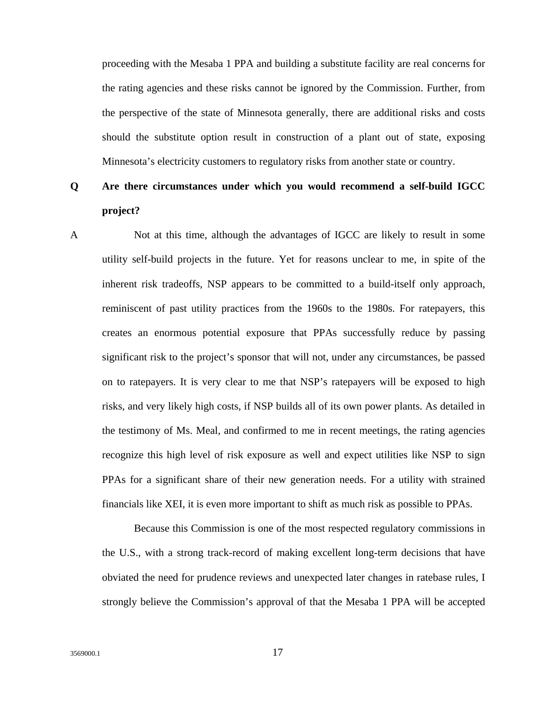proceeding with the Mesaba 1 PPA and building a substitute facility are real concerns for the rating agencies and these risks cannot be ignored by the Commission. Further, from the perspective of the state of Minnesota generally, there are additional risks and costs should the substitute option result in construction of a plant out of state, exposing Minnesota's electricity customers to regulatory risks from another state or country.

### **Q Are there circumstances under which you would recommend a self-build IGCC project?**

A Not at this time, although the advantages of IGCC are likely to result in some utility self-build projects in the future. Yet for reasons unclear to me, in spite of the inherent risk tradeoffs, NSP appears to be committed to a build-itself only approach, reminiscent of past utility practices from the 1960s to the 1980s. For ratepayers, this creates an enormous potential exposure that PPAs successfully reduce by passing significant risk to the project's sponsor that will not, under any circumstances, be passed on to ratepayers. It is very clear to me that NSP's ratepayers will be exposed to high risks, and very likely high costs, if NSP builds all of its own power plants. As detailed in the testimony of Ms. Meal, and confirmed to me in recent meetings, the rating agencies recognize this high level of risk exposure as well and expect utilities like NSP to sign PPAs for a significant share of their new generation needs. For a utility with strained financials like XEI, it is even more important to shift as much risk as possible to PPAs.

Because this Commission is one of the most respected regulatory commissions in the U.S., with a strong track-record of making excellent long-term decisions that have obviated the need for prudence reviews and unexpected later changes in ratebase rules, I strongly believe the Commission's approval of that the Mesaba 1 PPA will be accepted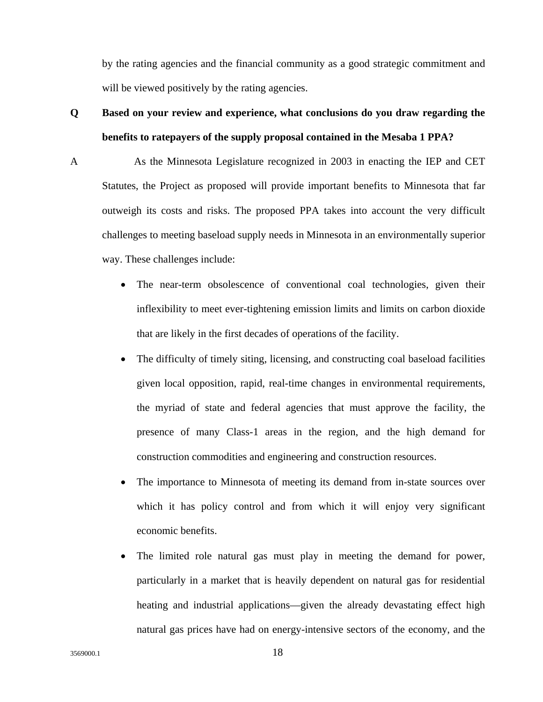by the rating agencies and the financial community as a good strategic commitment and will be viewed positively by the rating agencies.

## **Q Based on your review and experience, what conclusions do you draw regarding the benefits to ratepayers of the supply proposal contained in the Mesaba 1 PPA?**

A As the Minnesota Legislature recognized in 2003 in enacting the IEP and CET Statutes, the Project as proposed will provide important benefits to Minnesota that far outweigh its costs and risks. The proposed PPA takes into account the very difficult challenges to meeting baseload supply needs in Minnesota in an environmentally superior way. These challenges include:

- The near-term obsolescence of conventional coal technologies, given their inflexibility to meet ever-tightening emission limits and limits on carbon dioxide that are likely in the first decades of operations of the facility.
- The difficulty of timely siting, licensing, and constructing coal baseload facilities given local opposition, rapid, real-time changes in environmental requirements, the myriad of state and federal agencies that must approve the facility, the presence of many Class-1 areas in the region, and the high demand for construction commodities and engineering and construction resources.
- The importance to Minnesota of meeting its demand from in-state sources over which it has policy control and from which it will enjoy very significant economic benefits.
- The limited role natural gas must play in meeting the demand for power, particularly in a market that is heavily dependent on natural gas for residential heating and industrial applications—given the already devastating effect high natural gas prices have had on energy-intensive sectors of the economy, and the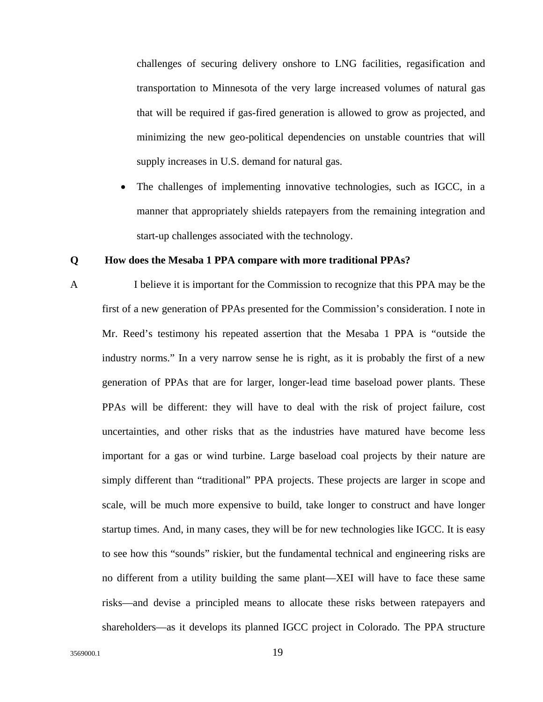challenges of securing delivery onshore to LNG facilities, regasification and transportation to Minnesota of the very large increased volumes of natural gas that will be required if gas-fired generation is allowed to grow as projected, and minimizing the new geo-political dependencies on unstable countries that will supply increases in U.S. demand for natural gas.

The challenges of implementing innovative technologies, such as IGCC, in a manner that appropriately shields ratepayers from the remaining integration and start-up challenges associated with the technology.

#### **Q How does the Mesaba 1 PPA compare with more traditional PPAs?**

A I believe it is important for the Commission to recognize that this PPA may be the first of a new generation of PPAs presented for the Commission's consideration. I note in Mr. Reed's testimony his repeated assertion that the Mesaba 1 PPA is "outside the industry norms." In a very narrow sense he is right, as it is probably the first of a new generation of PPAs that are for larger, longer-lead time baseload power plants. These PPAs will be different: they will have to deal with the risk of project failure, cost uncertainties, and other risks that as the industries have matured have become less important for a gas or wind turbine. Large baseload coal projects by their nature are simply different than "traditional" PPA projects. These projects are larger in scope and scale, will be much more expensive to build, take longer to construct and have longer startup times. And, in many cases, they will be for new technologies like IGCC. It is easy to see how this "sounds" riskier, but the fundamental technical and engineering risks are no different from a utility building the same plant—XEI will have to face these same risks—and devise a principled means to allocate these risks between ratepayers and shareholders—as it develops its planned IGCC project in Colorado. The PPA structure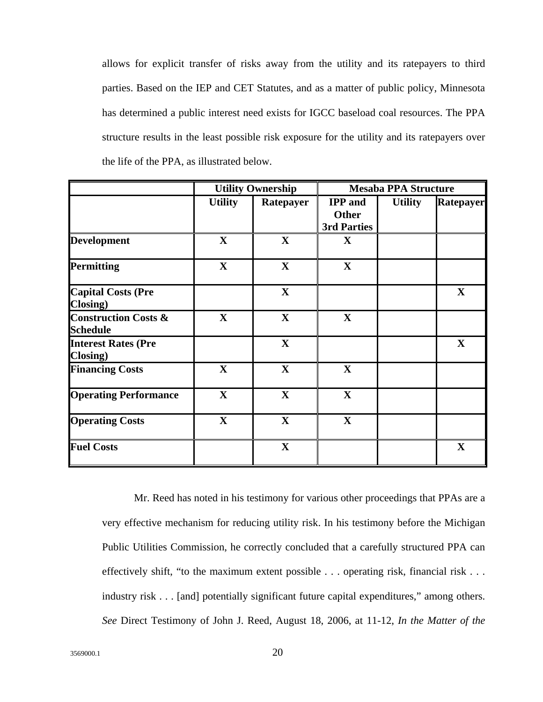allows for explicit transfer of risks away from the utility and its ratepayers to third parties. Based on the IEP and CET Statutes, and as a matter of public policy, Minnesota has determined a public interest need exists for IGCC baseload coal resources. The PPA structure results in the least possible risk exposure for the utility and its ratepayers over the life of the PPA, as illustrated below.

|                                                    | <b>Utility Ownership</b> |              | <b>Mesaba PPA Structure</b>                   |                |             |
|----------------------------------------------------|--------------------------|--------------|-----------------------------------------------|----------------|-------------|
|                                                    | <b>Utility</b>           | Ratepayer    | <b>IPP</b> and<br><b>Other</b><br>3rd Parties | <b>Utility</b> | Ratepayer   |
| <b>Development</b>                                 | $\mathbf X$              | $\mathbf X$  | $\mathbf X$                                   |                |             |
| <b>Permitting</b>                                  | $\mathbf X$              | $\mathbf X$  | $\mathbf X$                                   |                |             |
| <b>Capital Costs (Pre</b><br><b>Closing</b> )      |                          | $\mathbf{X}$ |                                               |                | $\mathbf X$ |
| <b>Construction Costs &amp;</b><br><b>Schedule</b> | $\mathbf X$              | $\mathbf X$  | $\mathbf X$                                   |                |             |
| <b>Interest Rates (Pre</b><br>Closing)             |                          | $\mathbf X$  |                                               |                | $\mathbf X$ |
| <b>Financing Costs</b>                             | $\mathbf X$              | $\mathbf X$  | $\mathbf X$                                   |                |             |
| <b>Operating Performance</b>                       | $\mathbf X$              | $\mathbf X$  | $\mathbf X$                                   |                |             |
| <b>Operating Costs</b>                             | $\mathbf{X}$             | $\mathbf X$  | $\mathbf X$                                   |                |             |
| <b>Fuel Costs</b>                                  |                          | $\mathbf X$  |                                               |                | $\mathbf X$ |

 Mr. Reed has noted in his testimony for various other proceedings that PPAs are a very effective mechanism for reducing utility risk. In his testimony before the Michigan Public Utilities Commission, he correctly concluded that a carefully structured PPA can effectively shift, "to the maximum extent possible . . . operating risk, financial risk . . . industry risk . . . [and] potentially significant future capital expenditures," among others. *See* Direct Testimony of John J. Reed, August 18, 2006, at 11-12, *In the Matter of the*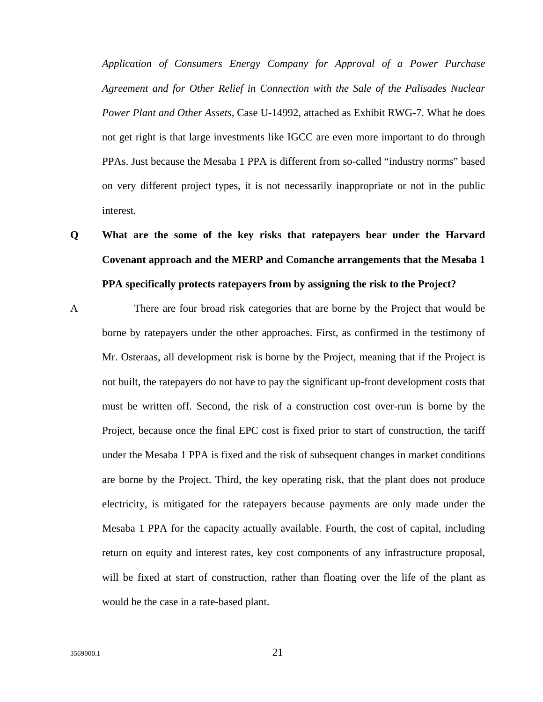*Application of Consumers Energy Company for Approval of a Power Purchase Agreement and for Other Relief in Connection with the Sale of the Palisades Nuclear Power Plant and Other Assets*, Case U-14992, attached as Exhibit RWG-7. What he does not get right is that large investments like IGCC are even more important to do through PPAs. Just because the Mesaba 1 PPA is different from so-called "industry norms" based on very different project types, it is not necessarily inappropriate or not in the public interest.

- **Q What are the some of the key risks that ratepayers bear under the Harvard Covenant approach and the MERP and Comanche arrangements that the Mesaba 1 PPA specifically protects ratepayers from by assigning the risk to the Project?**
- A There are four broad risk categories that are borne by the Project that would be borne by ratepayers under the other approaches. First, as confirmed in the testimony of Mr. Osteraas, all development risk is borne by the Project, meaning that if the Project is not built, the ratepayers do not have to pay the significant up-front development costs that must be written off. Second, the risk of a construction cost over-run is borne by the Project, because once the final EPC cost is fixed prior to start of construction, the tariff under the Mesaba 1 PPA is fixed and the risk of subsequent changes in market conditions are borne by the Project. Third, the key operating risk, that the plant does not produce electricity, is mitigated for the ratepayers because payments are only made under the Mesaba 1 PPA for the capacity actually available. Fourth, the cost of capital, including return on equity and interest rates, key cost components of any infrastructure proposal, will be fixed at start of construction, rather than floating over the life of the plant as would be the case in a rate-based plant.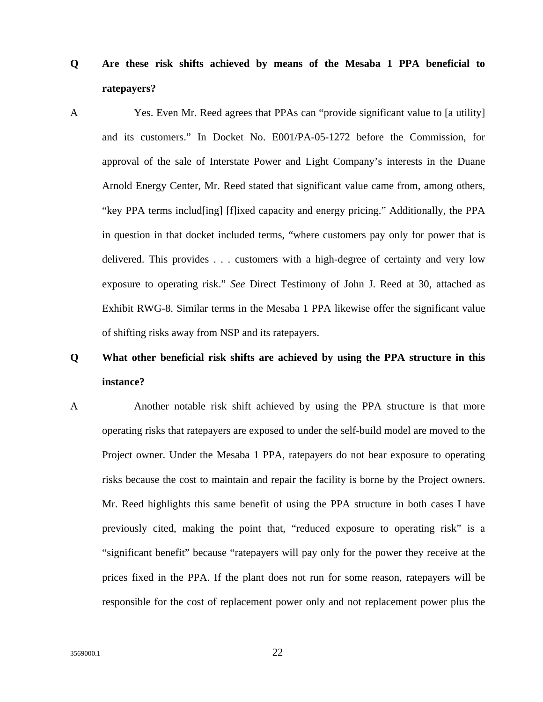- **Q Are these risk shifts achieved by means of the Mesaba 1 PPA beneficial to ratepayers?**
- A Yes. Even Mr. Reed agrees that PPAs can "provide significant value to [a utility] and its customers." In Docket No. E001/PA-05-1272 before the Commission, for approval of the sale of Interstate Power and Light Company's interests in the Duane Arnold Energy Center, Mr. Reed stated that significant value came from, among others, "key PPA terms includ[ing] [f]ixed capacity and energy pricing." Additionally, the PPA in question in that docket included terms, "where customers pay only for power that is delivered. This provides . . . customers with a high-degree of certainty and very low exposure to operating risk." *See* Direct Testimony of John J. Reed at 30, attached as Exhibit RWG-8. Similar terms in the Mesaba 1 PPA likewise offer the significant value of shifting risks away from NSP and its ratepayers.

## **Q What other beneficial risk shifts are achieved by using the PPA structure in this instance?**

A Another notable risk shift achieved by using the PPA structure is that more operating risks that ratepayers are exposed to under the self-build model are moved to the Project owner. Under the Mesaba 1 PPA, ratepayers do not bear exposure to operating risks because the cost to maintain and repair the facility is borne by the Project owners. Mr. Reed highlights this same benefit of using the PPA structure in both cases I have previously cited, making the point that, "reduced exposure to operating risk" is a "significant benefit" because "ratepayers will pay only for the power they receive at the prices fixed in the PPA. If the plant does not run for some reason, ratepayers will be responsible for the cost of replacement power only and not replacement power plus the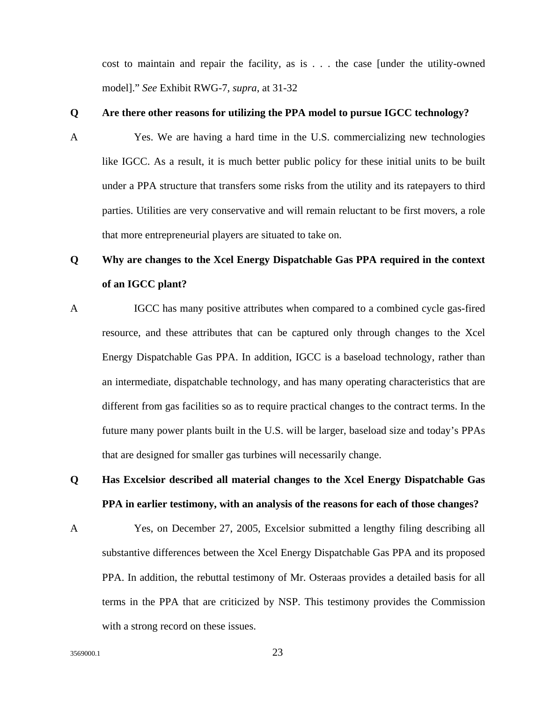cost to maintain and repair the facility, as is . . . the case [under the utility-owned model]." *See* Exhibit RWG-7, *supra*, at 31-32

#### **Q Are there other reasons for utilizing the PPA model to pursue IGCC technology?**

A Yes. We are having a hard time in the U.S. commercializing new technologies like IGCC. As a result, it is much better public policy for these initial units to be built under a PPA structure that transfers some risks from the utility and its ratepayers to third parties. Utilities are very conservative and will remain reluctant to be first movers, a role that more entrepreneurial players are situated to take on.

### **Q Why are changes to the Xcel Energy Dispatchable Gas PPA required in the context of an IGCC plant?**

- A IGCC has many positive attributes when compared to a combined cycle gas-fired resource, and these attributes that can be captured only through changes to the Xcel Energy Dispatchable Gas PPA. In addition, IGCC is a baseload technology, rather than an intermediate, dispatchable technology, and has many operating characteristics that are different from gas facilities so as to require practical changes to the contract terms. In the future many power plants built in the U.S. will be larger, baseload size and today's PPAs that are designed for smaller gas turbines will necessarily change.
- **Q Has Excelsior described all material changes to the Xcel Energy Dispatchable Gas PPA in earlier testimony, with an analysis of the reasons for each of those changes?**
- A Yes, on December 27, 2005, Excelsior submitted a lengthy filing describing all substantive differences between the Xcel Energy Dispatchable Gas PPA and its proposed PPA. In addition, the rebuttal testimony of Mr. Osteraas provides a detailed basis for all terms in the PPA that are criticized by NSP. This testimony provides the Commission with a strong record on these issues.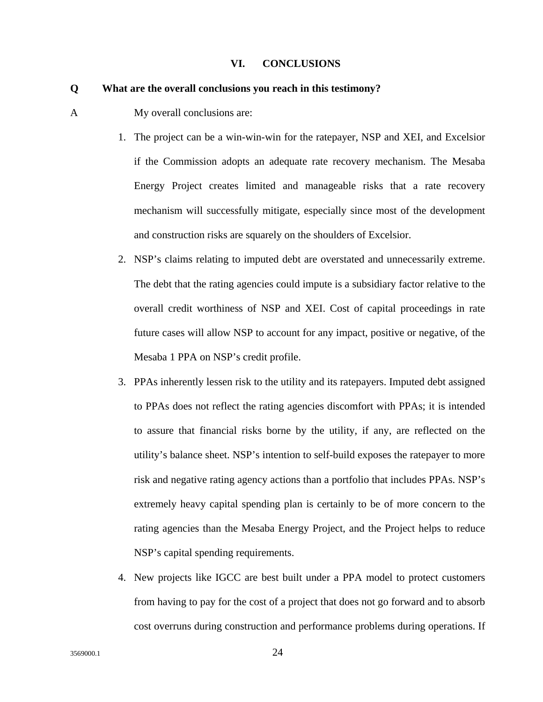#### **VI. CONCLUSIONS**

#### **Q What are the overall conclusions you reach in this testimony?**

- A My overall conclusions are:
	- 1. The project can be a win-win-win for the ratepayer, NSP and XEI, and Excelsior if the Commission adopts an adequate rate recovery mechanism. The Mesaba Energy Project creates limited and manageable risks that a rate recovery mechanism will successfully mitigate, especially since most of the development and construction risks are squarely on the shoulders of Excelsior.
	- 2. NSP's claims relating to imputed debt are overstated and unnecessarily extreme. The debt that the rating agencies could impute is a subsidiary factor relative to the overall credit worthiness of NSP and XEI. Cost of capital proceedings in rate future cases will allow NSP to account for any impact, positive or negative, of the Mesaba 1 PPA on NSP's credit profile.
	- 3. PPAs inherently lessen risk to the utility and its ratepayers. Imputed debt assigned to PPAs does not reflect the rating agencies discomfort with PPAs; it is intended to assure that financial risks borne by the utility, if any, are reflected on the utility's balance sheet. NSP's intention to self-build exposes the ratepayer to more risk and negative rating agency actions than a portfolio that includes PPAs. NSP's extremely heavy capital spending plan is certainly to be of more concern to the rating agencies than the Mesaba Energy Project, and the Project helps to reduce NSP's capital spending requirements.
	- 4. New projects like IGCC are best built under a PPA model to protect customers from having to pay for the cost of a project that does not go forward and to absorb cost overruns during construction and performance problems during operations. If